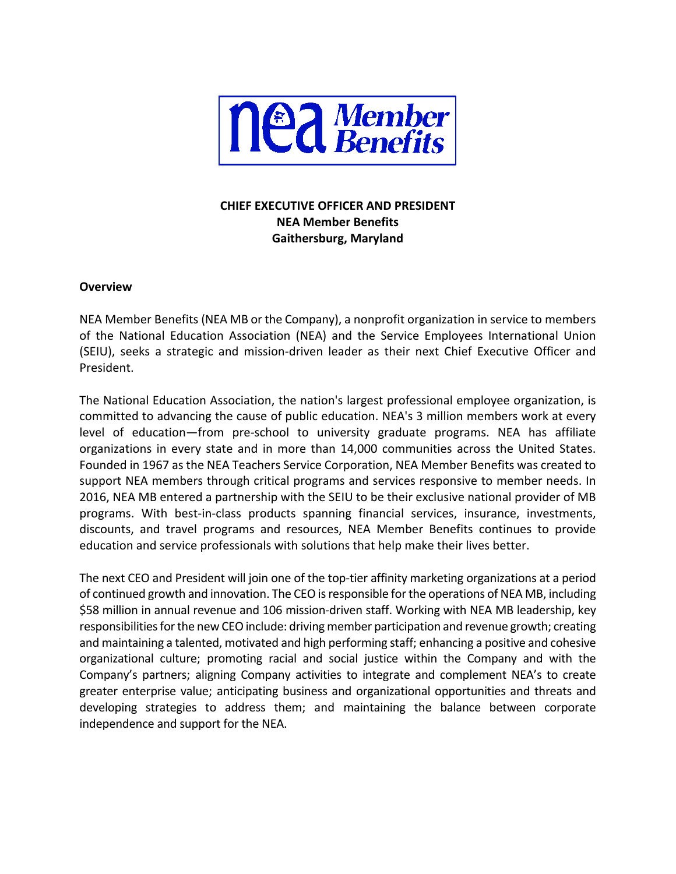

# **CHIEF EXECUTIVE OFFICER AND PRESIDENT NEA Member Benefits Gaithersburg, Maryland**

#### **Overview**

NEA Member Benefits (NEA MB or the Company), a nonprofit organization in service to members of the National Education Association (NEA) and the Service Employees International Union (SEIU), seeks a strategic and mission-driven leader as their next Chief Executive Officer and President.

The National Education Association, the nation's largest professional employee organization, is committed to advancing the cause of public education. NEA's 3 million members work at every level of education—from pre-school to university graduate programs. NEA has affiliate organizations in every state and in more than 14,000 communities across the United States. Founded in 1967 as the NEA Teachers Service Corporation, NEA Member Benefits was created to support NEA members through critical programs and services responsive to member needs. In 2016, NEA MB entered a partnership with the SEIU to be their exclusive national provider of MB programs. With best-in-class products spanning financial services, insurance, investments, discounts, and travel programs and resources, NEA Member Benefits continues to provide education and service professionals with solutions that help make their lives better.

The next CEO and President will join one of the top-tier affinity marketing organizations at a period of continued growth and innovation. The CEO is responsible for the operations of NEA MB, including \$58 million in annual revenue and 106 mission-driven staff. Working with NEA MB leadership, key responsibilities for the new CEO include: driving member participation and revenue growth; creating and maintaining a talented, motivated and high performing staff; enhancing a positive and cohesive organizational culture; promoting racial and social justice within the Company and with the Company's partners; aligning Company activities to integrate and complement NEA's to create greater enterprise value; anticipating business and organizational opportunities and threats and developing strategies to address them; and maintaining the balance between corporate independence and support for the NEA.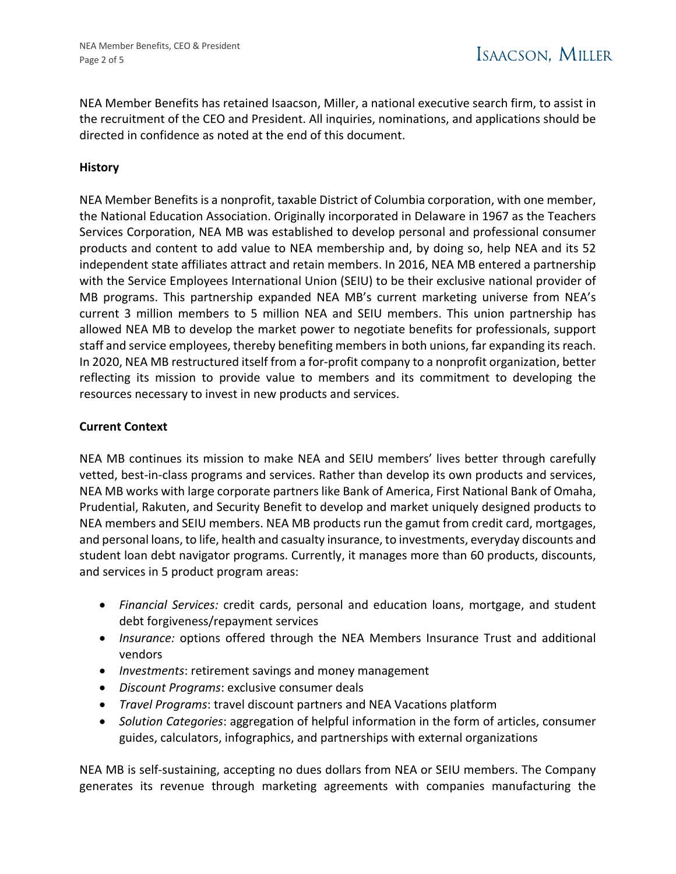NEA Member Benefits has retained Isaacson, Miller, a national executive search firm, to assist in the recruitment of the CEO and President. All inquiries, nominations, and applications should be directed in confidence as noted at the end of this document.

## **History**

NEA Member Benefits is a nonprofit, taxable District of Columbia corporation, with one member, the National Education Association. Originally incorporated in Delaware in 1967 as the Teachers Services Corporation, NEA MB was established to develop personal and professional consumer products and content to add value to NEA membership and, by doing so, help NEA and its 52 independent state affiliates attract and retain members. In 2016, NEA MB entered a partnership with the Service Employees International Union (SEIU) to be their exclusive national provider of MB programs. This partnership expanded NEA MB's current marketing universe from NEA's current 3 million members to 5 million NEA and SEIU members. This union partnership has allowed NEA MB to develop the market power to negotiate benefits for professionals, support staff and service employees, thereby benefiting members in both unions, far expanding its reach. In 2020, NEA MB restructured itself from a for-profit company to a nonprofit organization, better reflecting its mission to provide value to members and its commitment to developing the resources necessary to invest in new products and services.

#### **Current Context**

NEA MB continues its mission to make NEA and SEIU members' lives better through carefully vetted, best-in-class programs and services. Rather than develop its own products and services, NEA MB works with large corporate partners like Bank of America, First National Bank of Omaha, Prudential, Rakuten, and Security Benefit to develop and market uniquely designed products to NEA members and SEIU members. NEA MB products run the gamut from credit card, mortgages, and personal loans, to life, health and casualty insurance, to investments, everyday discounts and student loan debt navigator programs. Currently, it manages more than 60 products, discounts, and services in 5 product program areas:

- *Financial Services:* credit cards, personal and education loans, mortgage, and student debt forgiveness/repayment services
- *Insurance:* options offered through the NEA Members Insurance Trust and additional vendors
- *Investments*: retirement savings and money management
- *Discount Programs*: exclusive consumer deals
- *Travel Programs*: travel discount partners and NEA Vacations platform
- *Solution Categories*: aggregation of helpful information in the form of articles, consumer guides, calculators, infographics, and partnerships with external organizations

NEA MB is self-sustaining, accepting no dues dollars from NEA or SEIU members. The Company generates its revenue through marketing agreements with companies manufacturing the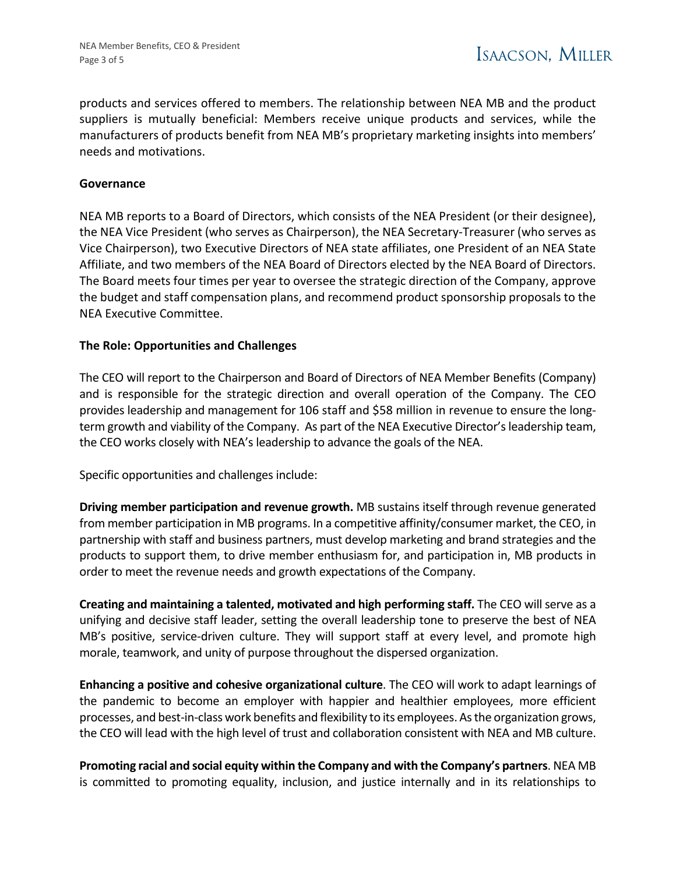products and services offered to members. The relationship between NEA MB and the product suppliers is mutually beneficial: Members receive unique products and services, while the manufacturers of products benefit from NEA MB's proprietary marketing insights into members' needs and motivations.

#### **Governance**

NEA MB reports to a Board of Directors, which consists of the NEA President (or their designee), the NEA Vice President (who serves as Chairperson), the NEA Secretary-Treasurer (who serves as Vice Chairperson), two Executive Directors of NEA state affiliates, one President of an NEA State Affiliate, and two members of the NEA Board of Directors elected by the NEA Board of Directors. The Board meets four times per year to oversee the strategic direction of the Company, approve the budget and staff compensation plans, and recommend product sponsorship proposals to the NEA Executive Committee.

#### **The Role: Opportunities and Challenges**

The CEO will report to the Chairperson and Board of Directors of NEA Member Benefits (Company) and is responsible for the strategic direction and overall operation of the Company. The CEO provides leadership and management for 106 staff and \$58 million in revenue to ensure the longterm growth and viability of the Company. As part of the NEA Executive Director's leadership team, the CEO works closely with NEA's leadership to advance the goals of the NEA.

Specific opportunities and challenges include:

**Driving member participation and revenue growth.** MB sustains itself through revenue generated from member participation in MB programs. In a competitive affinity/consumer market, the CEO, in partnership with staff and business partners, must develop marketing and brand strategies and the products to support them, to drive member enthusiasm for, and participation in, MB products in order to meet the revenue needs and growth expectations of the Company.

**Creating and maintaining a talented, motivated and high performing staff.** The CEO will serve as a unifying and decisive staff leader, setting the overall leadership tone to preserve the best of NEA MB's positive, service-driven culture. They will support staff at every level, and promote high morale, teamwork, and unity of purpose throughout the dispersed organization.

**Enhancing a positive and cohesive organizational culture**. The CEO will work to adapt learnings of the pandemic to become an employer with happier and healthier employees, more efficient processes, and best-in-class work benefits and flexibility to its employees. As the organization grows, the CEO will lead with the high level of trust and collaboration consistent with NEA and MB culture.

**Promoting racial and social equity within the Company and with the Company's partners**. NEA MB is committed to promoting equality, inclusion, and justice internally and in its relationships to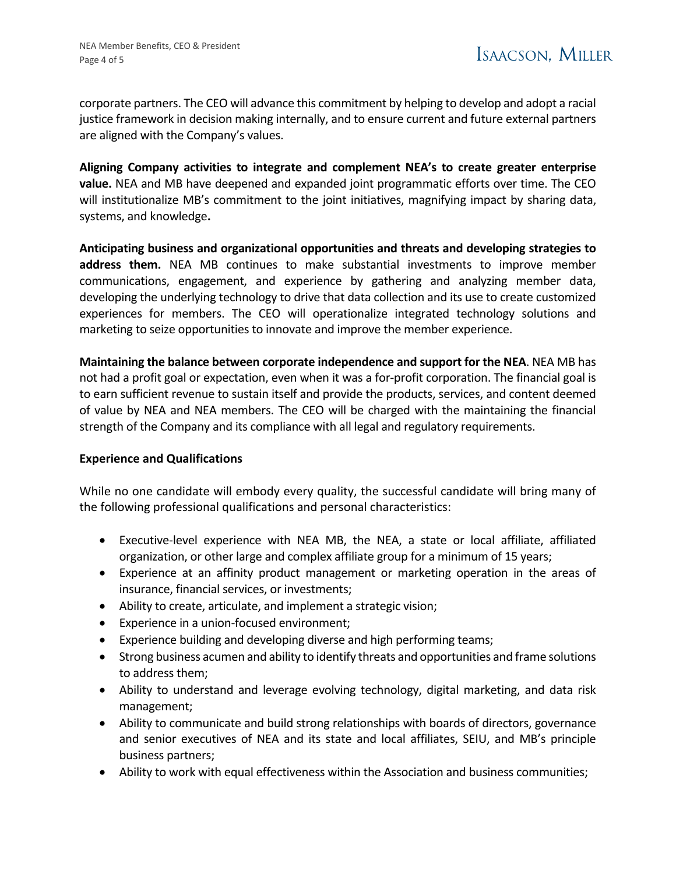corporate partners. The CEO will advance this commitment by helping to develop and adopt a racial justice framework in decision making internally, and to ensure current and future external partners are aligned with the Company's values.

**Aligning Company activities to integrate and complement NEA's to create greater enterprise value.** NEA and MB have deepened and expanded joint programmatic efforts over time. The CEO will institutionalize MB's commitment to the joint initiatives, magnifying impact by sharing data, systems, and knowledge**.** 

**Anticipating business and organizational opportunities and threats and developing strategies to address them.** NEA MB continues to make substantial investments to improve member communications, engagement, and experience by gathering and analyzing member data, developing the underlying technology to drive that data collection and its use to create customized experiences for members. The CEO will operationalize integrated technology solutions and marketing to seize opportunities to innovate and improve the member experience.

**Maintaining the balance between corporate independence and support for the NEA**. NEA MB has not had a profit goal or expectation, even when it was a for-profit corporation. The financial goal is to earn sufficient revenue to sustain itself and provide the products, services, and content deemed of value by NEA and NEA members. The CEO will be charged with the maintaining the financial strength of the Company and its compliance with all legal and regulatory requirements.

## **Experience and Qualifications**

While no one candidate will embody every quality, the successful candidate will bring many of the following professional qualifications and personal characteristics:

- Executive-level experience with NEA MB, the NEA, a state or local affiliate, affiliated organization, or other large and complex affiliate group for a minimum of 15 years;
- Experience at an affinity product management or marketing operation in the areas of insurance, financial services, or investments;
- Ability to create, articulate, and implement a strategic vision;
- Experience in a union-focused environment;
- Experience building and developing diverse and high performing teams;
- Strong business acumen and ability to identify threats and opportunities and frame solutions to address them;
- Ability to understand and leverage evolving technology, digital marketing, and data risk management;
- Ability to communicate and build strong relationships with boards of directors, governance and senior executives of NEA and its state and local affiliates, SEIU, and MB's principle business partners;
- Ability to work with equal effectiveness within the Association and business communities;